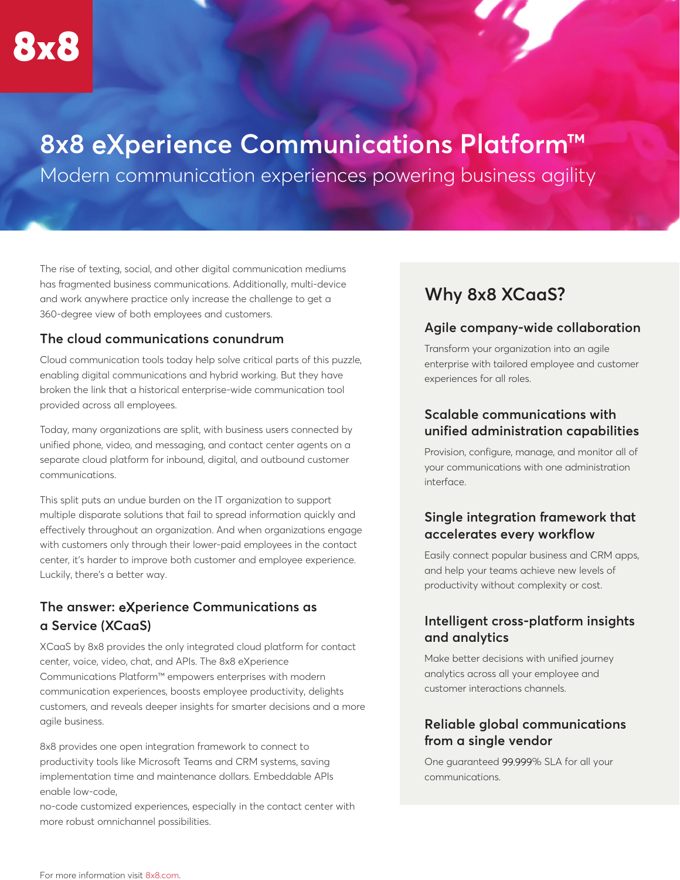# **8x8** eX**perience Communications Platform™**

Modern communication experiences powering business agility

The rise of texting, social, and other digital communication mediums has fragmented business communications. Additionally, multi-device and work anywhere practice only increase the challenge to get a 360-degree view of both employees and customers.

#### **The cloud communications conundrum**

Cloud communication tools today help solve critical parts of this puzzle, enabling digital communications and hybrid working. But they have broken the link that a historical enterprise-wide communication tool provided across all employees.

Today, many organizations are split, with business users connected by unified phone, video, and messaging, and contact center agents on a separate cloud platform for inbound, digital, and outbound customer communications.

This split puts an undue burden on the IT organization to support multiple disparate solutions that fail to spread information quickly and effectively throughout an organization. And when organizations engage with customers only through their lower-paid employees in the contact center, it's harder to improve both customer and employee experience. Luckily, there's a better way.

# **The answer:** eX**perience Communications as a Service (XCaaS)**

XCaaS by 8x8 provides the only integrated cloud platform for contact center, voice, video, chat, and APIs. The 8x8 eXperience Communications Platform™ empowers enterprises with modern communication experiences, boosts employee productivity, delights customers, and reveals deeper insights for smarter decisions and a more agile business.

8x8 provides one open integration framework to connect to productivity tools like Microsoft Teams and CRM systems, saving implementation time and maintenance dollars. Embeddable APIs enable low-code,

no-code customized experiences, especially in the contact center with more robust omnichannel possibilities.

# **Why 8x8 XCaaS?**

#### **Agile company-wide collaboration**

Transform your organization into an agile enterprise with tailored employee and customer experiences for all roles.

#### **Scalable communications with unified administration capabilities**

Provision, configure, manage, and monitor all of your communications with one administration interface.

# **Single integration framework that accelerates every workflow**

Easily connect popular business and CRM apps, and help your teams achieve new levels of productivity without complexity or cost.

## **Intelligent cross-platform insights and analytics**

Make better decisions with unified journey analytics across all your employee and customer interactions channels.

## **Reliable global communications from a single vendor**

One guaranteed 99.999% SLA for all your communications.